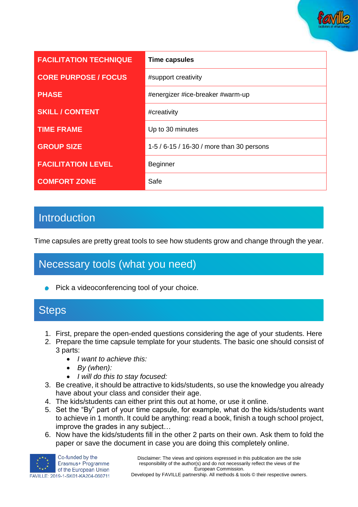

| <b>FACILITATION TECHNIQUE</b> | <b>Time capsules</b>                      |
|-------------------------------|-------------------------------------------|
| <b>CORE PURPOSE / FOCUS</b>   | #support creativity                       |
| <b>PHASE</b>                  | #energizer #ice-breaker #warm-up          |
| <b>SKILL / CONTENT</b>        | #creativity                               |
| <b>TIME FRAME</b>             | Up to 30 minutes                          |
| <b>GROUP SIZE</b>             | 1-5 / 6-15 / 16-30 / more than 30 persons |
| <b>FACILITATION LEVEL</b>     | <b>Beginner</b>                           |
| <b>COMFORT ZONE</b>           | Safe                                      |

### **Introduction**

Time capsules are pretty great tools to see how students grow and change through the year.

# Necessary tools (what you need)

**Pick a videoconferencing tool of your choice.** 

#### **Steps**

- 1. First, prepare the open-ended questions considering the age of your students. Here
- 2. Prepare the time capsule template for your students. The basic one should consist of 3 parts:
	- *I want to achieve this:*
	- *By (when):*
	- *I will do this to stay focused:*
- 3. Be creative, it should be attractive to kids/students, so use the knowledge you already have about your class and consider their age.
- 4. The kids/students can either print this out at home, or use it online.
- 5. Set the "By" part of your time capsule, for example, what do the kids/students want to achieve in 1 month. It could be anything: read a book, finish a tough school project, improve the grades in any subject…
- 6. Now have the kids/students fill in the other 2 parts on their own. Ask them to fold the paper or save the document in case you are doing this completely online.